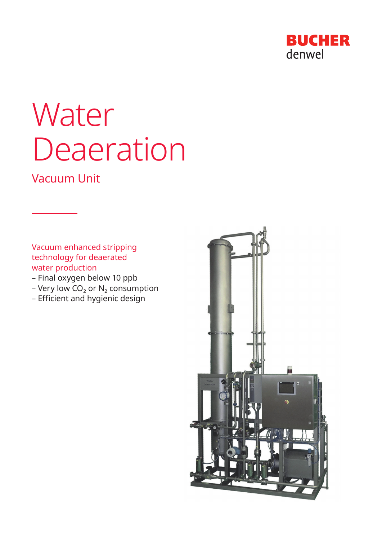

# **Water** Deaeration

## Vacuum Unit

Vacuum enhanced stripping technology for deaerated water production

- Final oxygen below 10 ppb
- Very low  $CO<sub>2</sub>$  or N<sub>2</sub> consumption
- Efficient and hygienic design